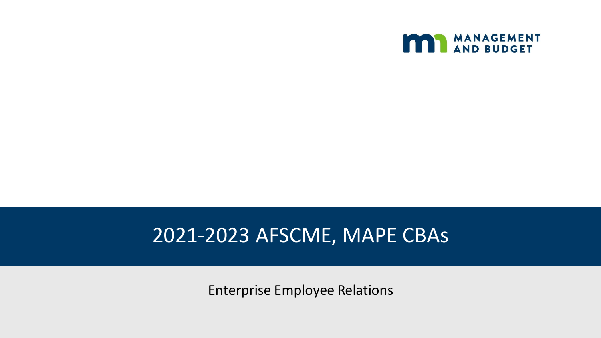

## 2021-2023 AFSCME, MAPE CBAs

Enterprise Employee Relations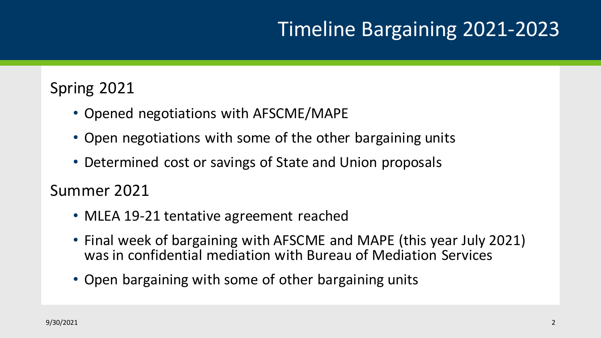# Timeline Bargaining 2021-2023

## Spring 2021

- Opened negotiations with AFSCME/MAPE
- Open negotiations with some of the other bargaining units
- Determined cost or savings of State and Union proposals

Summer 2021

- MLEA 19-21 tentative agreement reached
- Final week of bargaining with AFSCME and MAPE (this year July 2021) was in confidential mediation with Bureau of Mediation Services
- Open bargaining with some of other bargaining units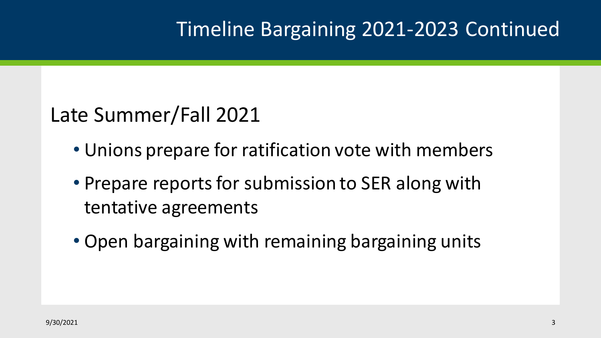# Timeline Bargaining 2021-2023 Continued

# Late Summer/Fall 2021

- Unions prepare for ratification vote with members
- Prepare reports for submission to SER along with tentative agreements
- Open bargaining with remaining bargaining units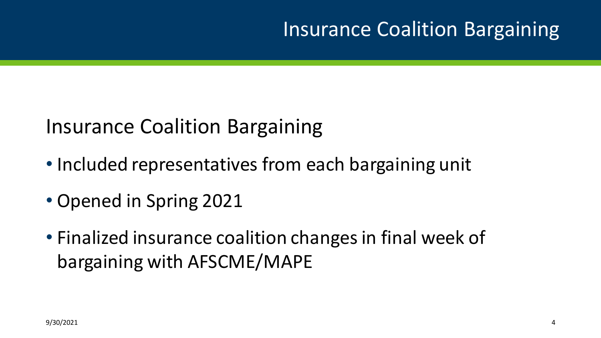# Insurance Coalition Bargaining

## Insurance Coalition Bargaining

- Included representatives from each bargaining unit
- Opened in Spring 2021
- Finalized insurance coalition changes in final week of bargaining with AFSCME/MAPE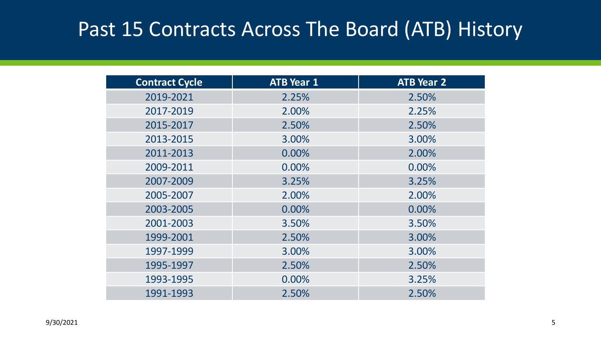## Past 15 Contracts Across The Board (ATB) History

| <b>Contract Cycle</b> | <b>ATB Year 1</b> | <b>ATB Year 2</b> |
|-----------------------|-------------------|-------------------|
| 2019-2021             | 2.25%             | 2.50%             |
| 2017-2019             | 2.00%             | 2.25%             |
| 2015-2017             | 2.50%             | 2.50%             |
| 2013-2015             | 3.00%             | 3.00%             |
| 2011-2013             | 0.00%             | 2.00%             |
| 2009-2011             | 0.00%             | 0.00%             |
| 2007-2009             | 3.25%             | 3.25%             |
| 2005-2007             | 2.00%             | 2.00%             |
| 2003-2005             | 0.00%             | 0.00%             |
| 2001-2003             | 3.50%             | 3.50%             |
| 1999-2001             | 2.50%             | 3.00%             |
| 1997-1999             | 3.00%             | 3.00%             |
| 1995-1997             | 2.50%             | 2.50%             |
| 1993-1995             | 0.00%             | 3.25%             |
| 1991-1993             | 2.50%             | 2.50%             |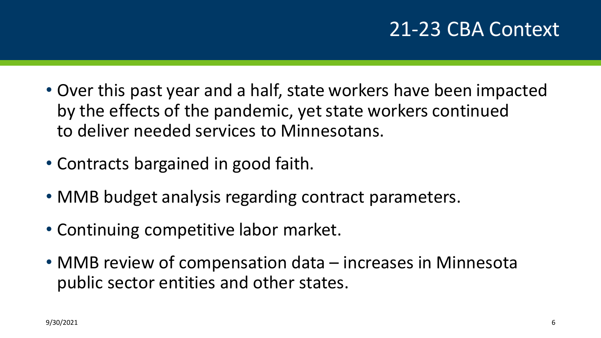# 21-23 CBA Context

- Over this past year and a half, state workers have been impacted by the effects of the pandemic, yet state workers continued to deliver needed services to Minnesotans.
- Contracts bargained in good faith.
- MMB budget analysis regarding contract parameters.
- Continuing competitive labor market.
- MMB review of compensation data increases in Minnesota public sector entities and other states.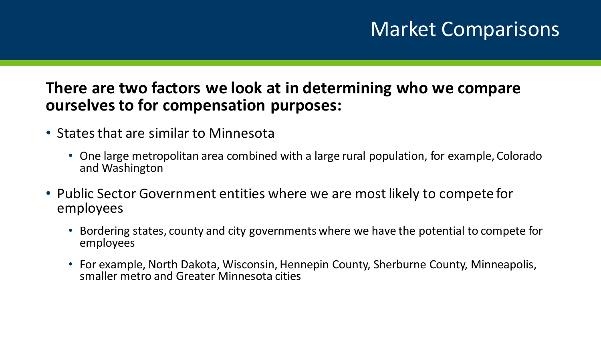# Market Comparisons

### **There are two factors we look at in determining who we compare ourselves to for compensation purposes:**

- States that are similar to Minnesota
	- One large metropolitan area combined with a large rural population, for example, Colorado and Washington
- Public Sector Government entities where we are most likely to compete for employees
	- Bordering states, county and city governments where we have the potential to compete for employees
	- For example, North Dakota, Wisconsin, Hennepin County, Sherburne County, Minneapolis, smaller metro and Greater Minnesota cities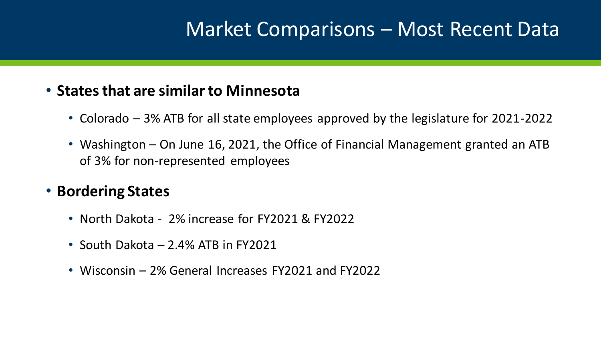## Market Comparisons – Most Recent Data

#### • **States that are similar to Minnesota**

- Colorado 3% ATB for all state employees approved by the legislature for 2021-2022
- Washington On June 16, 2021, the Office of Financial Management granted an ATB of 3% for non-represented employees

#### • **Bordering States**

- North Dakota 2% increase for FY2021 & FY2022
- South Dakota 2.4% ATB in FY2021
- Wisconsin 2% General Increases FY2021 and FY2022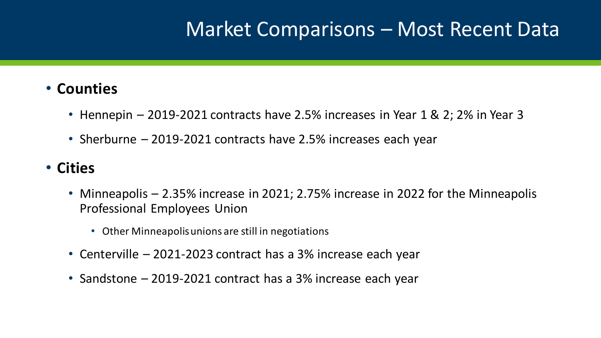## Market Comparisons – Most Recent Data

#### • **Counties**

- Hennepin 2019-2021 contracts have 2.5% increases in Year 1 & 2; 2% in Year 3
- Sherburne 2019-2021 contracts have 2.5% increases each year

### • **Cities**

- Minneapolis 2.35% increase in 2021; 2.75% increase in 2022 for the Minneapolis Professional Employees Union
	- Other Minneapolis unions are still in negotiations
- Centerville 2021-2023 contract has a 3% increase each year
- Sandstone 2019-2021 contract has a 3% increase each year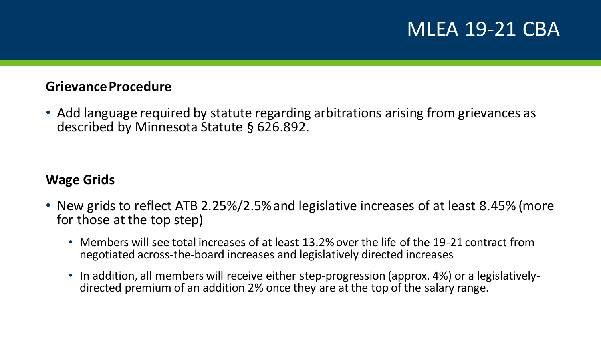## MLEA 19-21 CBA

#### **Grievance Procedure**

• Add language required by statute regarding arbitrations arising from grievances as described by Minnesota Statute § 626.892.

#### **Wage Grids**

- New grids to reflect ATB 2.25%/2.5% and legislative increases of at least 8.45% (more for those at the top step)
	- Members will see total increases of at least 13.2% over the life of the 19-21 contract from negotiated across-the-board increases and legislatively directed increases
	- In addition, all members will receive either step-progression (approx. 4%) or a legislativelydirected premium of an addition 2% once they are at the top of the salary range.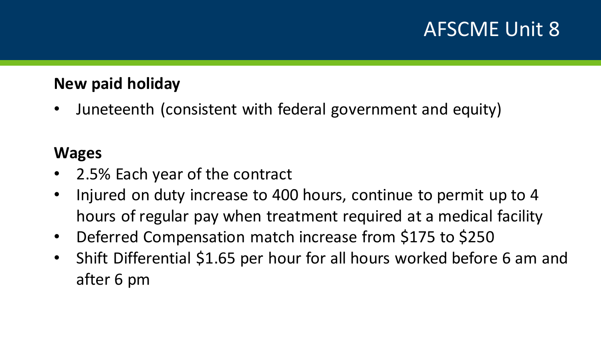# AFSCME Unit 8

### **New paid holiday**

• Juneteenth (consistent with federal government and equity)

- 2.5% Each year of the contract
- Injured on duty increase to 400 hours, continue to permit up to 4 hours of regular pay when treatment required at a medical facility
- Deferred Compensation match increase from \$175 to \$250
- Shift Differential \$1.65 per hour for all hours worked before 6 am and after 6 pm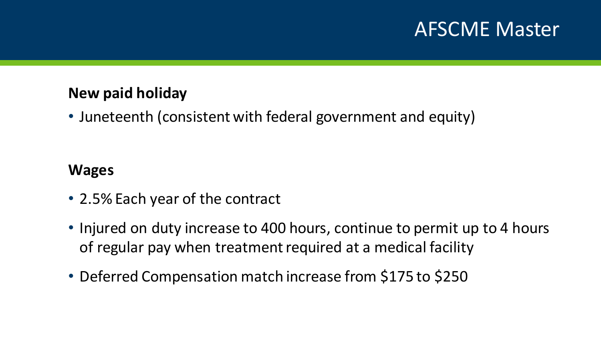## AFSCME Master

#### **New paid holiday**

• Juneteenth (consistent with federal government and equity)

- 2.5% Each year of the contract
- Injured on duty increase to 400 hours, continue to permit up to 4 hours of regular pay when treatment required at a medical facility
- Deferred Compensation match increase from \$175 to \$250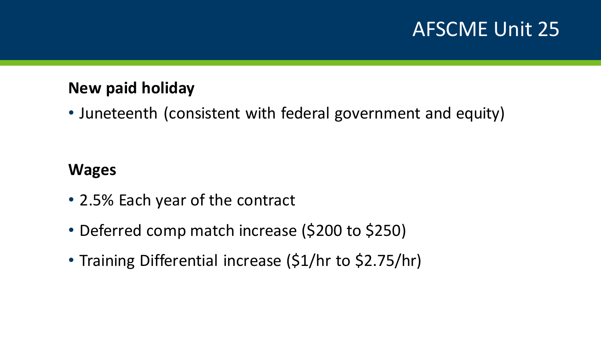## AFSCME Unit 25

### **New paid holiday**

• Juneteenth (consistent with federal government and equity)

- 2.5% Each year of the contract
- Deferred comp match increase (\$200 to \$250)
- Training Differential increase (\$1/hr to \$2.75/hr)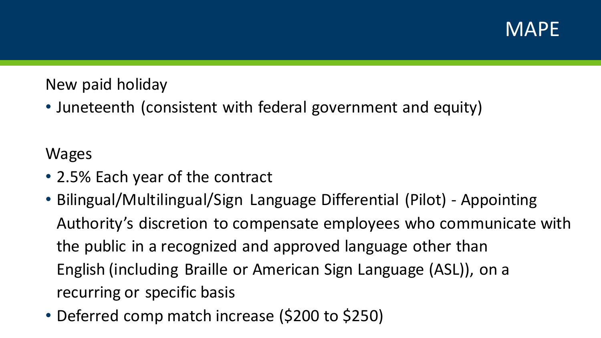

### New paid holiday

• Juneteenth (consistent with federal government and equity)

- 2.5% Each year of the contract
- Bilingual/Multilingual/Sign Language Differential (Pilot) Appointing Authority's discretion to compensate employees who communicate with the public in a recognized and approved language other than English (including Braille or American Sign Language (ASL)), on a recurring or specific basis
- Deferred comp match increase (\$200 to \$250)